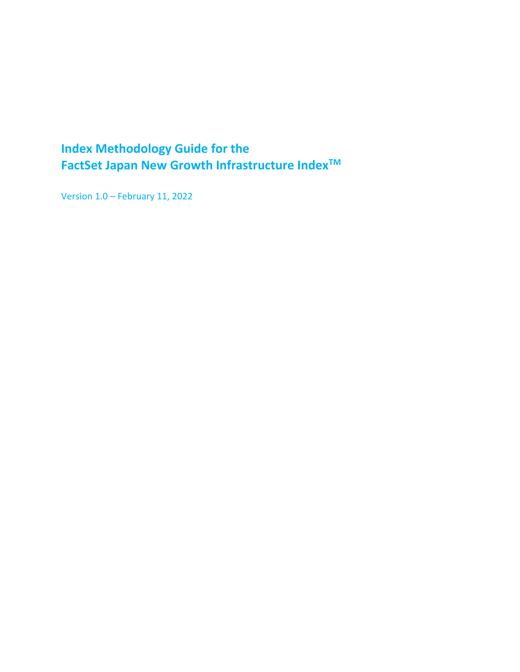## <span id="page-0-0"></span>**Index Methodology Guide for the FactSet Japan New Growth Infrastructure IndexTM**

Version 1.0 – February 11, 2022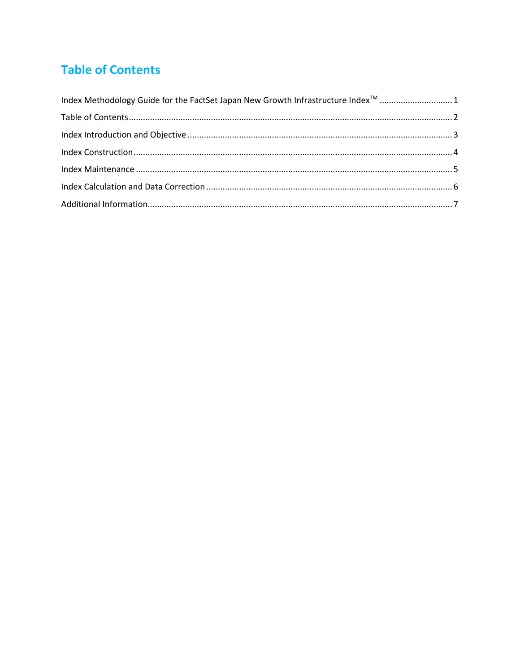# <span id="page-1-0"></span>**Table of Contents**

| Index Methodology Guide for the FactSet Japan New Growth Infrastructure Index <sup>™</sup> 1 |  |
|----------------------------------------------------------------------------------------------|--|
|                                                                                              |  |
|                                                                                              |  |
|                                                                                              |  |
|                                                                                              |  |
|                                                                                              |  |
|                                                                                              |  |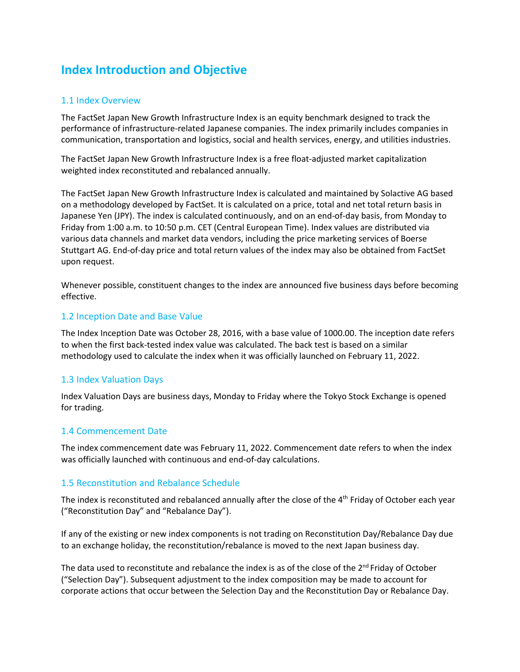## <span id="page-2-0"></span>**Index Introduction and Objective**

#### 1.1 Index Overview

The FactSet Japan New Growth Infrastructure Index is an equity benchmark designed to track the performance of infrastructure-related Japanese companies. The index primarily includes companies in communication, transportation and logistics, social and health services, energy, and utilities industries.

The FactSet Japan New Growth Infrastructure Index is a free float-adjusted market capitalization weighted index reconstituted and rebalanced annually.

The FactSet Japan New Growth Infrastructure Index is calculated and maintained by Solactive AG based on a methodology developed by FactSet. It is calculated on a price, total and net total return basis in Japanese Yen (JPY). The index is calculated continuously, and on an end-of-day basis, from Monday to Friday from 1:00 a.m. to 10:50 p.m. CET (Central European Time). Index values are distributed via various data channels and market data vendors, including the price marketing services of Boerse Stuttgart AG. End-of-day price and total return values of the index may also be obtained from FactSet upon request.

Whenever possible, constituent changes to the index are announced five business days before becoming effective.

#### 1.2 Inception Date and Base Value

The Index Inception Date was October 28, 2016, with a base value of 1000.00. The inception date refers to when the first back-tested index value was calculated. The back test is based on a similar methodology used to calculate the index when it was officially launched on February 11, 2022.

#### 1.3 Index Valuation Days

Index Valuation Days are business days, Monday to Friday where the Tokyo Stock Exchange is opened for trading.

#### 1.4 Commencement Date

The index commencement date was February 11, 2022. Commencement date refers to when the index was officially launched with continuous and end-of-day calculations.

#### 1.5 Reconstitution and Rebalance Schedule

The index is reconstituted and rebalanced annually after the close of the 4<sup>th</sup> Friday of October each year ("Reconstitution Day" and "Rebalance Day").

If any of the existing or new index components is not trading on Reconstitution Day/Rebalance Day due to an exchange holiday, the reconstitution/rebalance is moved to the next Japan business day.

The data used to reconstitute and rebalance the index is as of the close of the  $2^{nd}$  Friday of October ("Selection Day"). Subsequent adjustment to the index composition may be made to account for corporate actions that occur between the Selection Day and the Reconstitution Day or Rebalance Day.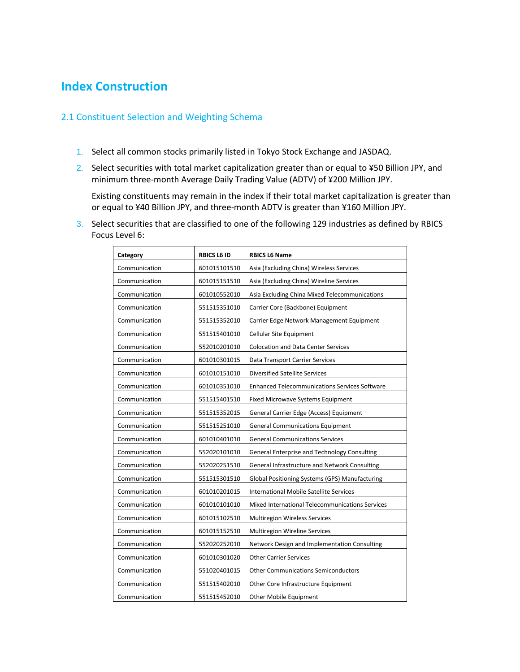### <span id="page-3-0"></span>**Index Construction**

#### 2.1 Constituent Selection and Weighting Schema

- 1. Select all common stocks primarily listed in Tokyo Stock Exchange and JASDAQ.
- 2. Select securities with total market capitalization greater than or equal to ¥50 Billion JPY, and minimum three-month Average Daily Trading Value (ADTV) of ¥200 Million JPY.

Existing constituents may remain in the index if their total market capitalization is greater than or equal to ¥40 Billion JPY, and three-month ADTV is greater than ¥160 Million JPY.

3. Select securities that are classified to one of the following 129 industries as defined by RBICS Focus Level 6:

| Category      | <b>RBICS L6 ID</b> | <b>RBICS L6 Name</b>                                 |
|---------------|--------------------|------------------------------------------------------|
| Communication | 601015101510       | Asia (Excluding China) Wireless Services             |
| Communication | 601015151510       | Asia (Excluding China) Wireline Services             |
| Communication | 601010552010       | Asia Excluding China Mixed Telecommunications        |
| Communication | 551515351010       | Carrier Core (Backbone) Equipment                    |
| Communication | 551515352010       | Carrier Edge Network Management Equipment            |
| Communication | 551515401010       | Cellular Site Equipment                              |
| Communication | 552010201010       | <b>Colocation and Data Center Services</b>           |
| Communication | 601010301015       | Data Transport Carrier Services                      |
| Communication | 601010151010       | <b>Diversified Satellite Services</b>                |
| Communication | 601010351010       | <b>Enhanced Telecommunications Services Software</b> |
| Communication | 551515401510       | Fixed Microwave Systems Equipment                    |
| Communication | 551515352015       | General Carrier Edge (Access) Equipment              |
| Communication | 551515251010       | <b>General Communications Equipment</b>              |
| Communication | 601010401010       | <b>General Communications Services</b>               |
| Communication | 552020101010       | General Enterprise and Technology Consulting         |
| Communication | 552020251510       | General Infrastructure and Network Consulting        |
| Communication | 551515301510       | Global Positioning Systems (GPS) Manufacturing       |
| Communication | 601010201015       | International Mobile Satellite Services              |
| Communication | 601010101010       | Mixed International Telecommunications Services      |
| Communication | 601015102510       | Multiregion Wireless Services                        |
| Communication | 601015152510       | Multiregion Wireline Services                        |
| Communication | 552020252010       | Network Design and Implementation Consulting         |
| Communication | 601010301020       | <b>Other Carrier Services</b>                        |
| Communication | 551020401015       | <b>Other Communications Semiconductors</b>           |
| Communication | 551515402010       | Other Core Infrastructure Equipment                  |
| Communication | 551515452010       | Other Mobile Equipment                               |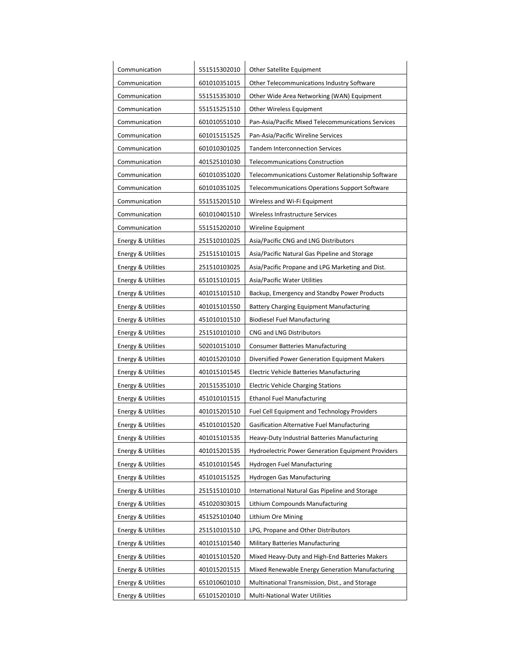| Communication                 | 551515302010 | Other Satellite Equipment                                 |  |
|-------------------------------|--------------|-----------------------------------------------------------|--|
| Communication                 | 601010351015 | Other Telecommunications Industry Software                |  |
| Communication                 | 551515353010 | Other Wide Area Networking (WAN) Equipment                |  |
| Communication                 | 551515251510 | Other Wireless Equipment                                  |  |
| Communication                 | 601010551010 | Pan-Asia/Pacific Mixed Telecommunications Services        |  |
| Communication                 | 601015151525 | Pan-Asia/Pacific Wireline Services                        |  |
| Communication                 | 601010301025 | <b>Tandem Interconnection Services</b>                    |  |
| Communication                 | 401525101030 | <b>Telecommunications Construction</b>                    |  |
| Communication                 | 601010351020 | Telecommunications Customer Relationship Software         |  |
| Communication                 | 601010351025 | Telecommunications Operations Support Software            |  |
| Communication                 | 551515201510 | Wireless and Wi-Fi Equipment                              |  |
| Communication                 | 601010401510 | Wireless Infrastructure Services                          |  |
| Communication                 | 551515202010 | <b>Wireline Equipment</b>                                 |  |
| Energy & Utilities            | 251510101025 | Asia/Pacific CNG and LNG Distributors                     |  |
| <b>Energy &amp; Utilities</b> | 251515101015 | Asia/Pacific Natural Gas Pipeline and Storage             |  |
| <b>Energy &amp; Utilities</b> | 251510103025 | Asia/Pacific Propane and LPG Marketing and Dist.          |  |
| Energy & Utilities            | 651015101015 | Asia/Pacific Water Utilities                              |  |
| <b>Energy &amp; Utilities</b> | 401015101510 | Backup, Emergency and Standby Power Products              |  |
| <b>Energy &amp; Utilities</b> | 401015101550 | <b>Battery Charging Equipment Manufacturing</b>           |  |
| Energy & Utilities            | 451010101510 | <b>Biodiesel Fuel Manufacturing</b>                       |  |
| <b>Energy &amp; Utilities</b> | 251510101010 | <b>CNG and LNG Distributors</b>                           |  |
| <b>Energy &amp; Utilities</b> | 502010151010 | <b>Consumer Batteries Manufacturing</b>                   |  |
| Energy & Utilities            | 401015201010 | Diversified Power Generation Equipment Makers             |  |
| <b>Energy &amp; Utilities</b> | 401015101545 | <b>Electric Vehicle Batteries Manufacturing</b>           |  |
| Energy & Utilities            | 201515351010 | <b>Electric Vehicle Charging Stations</b>                 |  |
| Energy & Utilities            | 451010101515 | <b>Ethanol Fuel Manufacturing</b>                         |  |
| <b>Energy &amp; Utilities</b> | 401015201510 | <b>Fuel Cell Equipment and Technology Providers</b>       |  |
| <b>Energy &amp; Utilities</b> | 451010101520 | <b>Gasification Alternative Fuel Manufacturing</b>        |  |
| Energy & Utilities            | 401015101535 | <b>Heavy-Duty Industrial Batteries Manufacturing</b>      |  |
| <b>Energy &amp; Utilities</b> | 401015201535 | <b>Hydroelectric Power Generation Equipment Providers</b> |  |
| Energy & Utilities            | 451010101545 | <b>Hydrogen Fuel Manufacturing</b>                        |  |
| <b>Energy &amp; Utilities</b> | 451010151525 | <b>Hydrogen Gas Manufacturing</b>                         |  |
| Energy & Utilities            | 251515101010 | International Natural Gas Pipeline and Storage            |  |
| <b>Energy &amp; Utilities</b> | 451020303015 | Lithium Compounds Manufacturing                           |  |
| Energy & Utilities            | 451525101040 | Lithium Ore Mining                                        |  |
| <b>Energy &amp; Utilities</b> | 251510101510 | LPG, Propane and Other Distributors                       |  |
| <b>Energy &amp; Utilities</b> | 401015101540 | <b>Military Batteries Manufacturing</b>                   |  |
| Energy & Utilities            | 401015101520 | Mixed Heavy-Duty and High-End Batteries Makers            |  |
| Energy & Utilities            | 401015201515 | Mixed Renewable Energy Generation Manufacturing           |  |
| Energy & Utilities            | 651010601010 | Multinational Transmission, Dist., and Storage            |  |
| Energy & Utilities            | 651015201010 | Multi-National Water Utilities                            |  |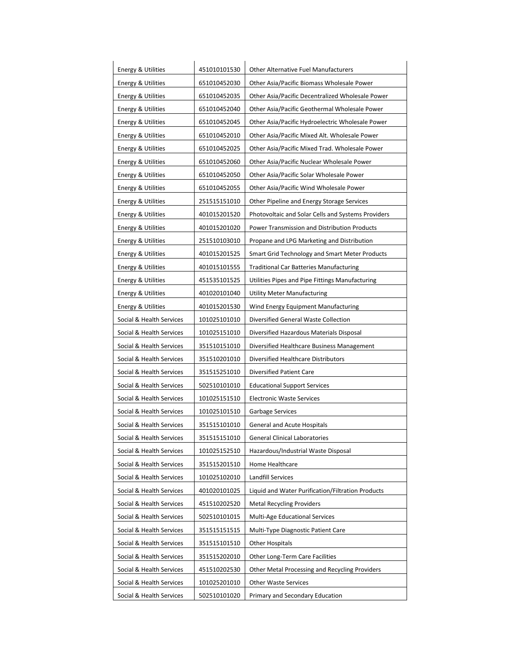| <b>Energy &amp; Utilities</b>                 | 451010101530 | <b>Other Alternative Fuel Manufacturers</b>        |  |
|-----------------------------------------------|--------------|----------------------------------------------------|--|
| 651010452030<br><b>Energy &amp; Utilities</b> |              | Other Asia/Pacific Biomass Wholesale Power         |  |
| Energy & Utilities                            | 651010452035 | Other Asia/Pacific Decentralized Wholesale Power   |  |
| Energy & Utilities                            | 651010452040 | Other Asia/Pacific Geothermal Wholesale Power      |  |
| Energy & Utilities                            | 651010452045 | Other Asia/Pacific Hydroelectric Wholesale Power   |  |
| <b>Energy &amp; Utilities</b>                 | 651010452010 | Other Asia/Pacific Mixed Alt. Wholesale Power      |  |
| Energy & Utilities                            | 651010452025 | Other Asia/Pacific Mixed Trad. Wholesale Power     |  |
| Energy & Utilities                            | 651010452060 | Other Asia/Pacific Nuclear Wholesale Power         |  |
| Energy & Utilities                            | 651010452050 | Other Asia/Pacific Solar Wholesale Power           |  |
| Energy & Utilities                            | 651010452055 | Other Asia/Pacific Wind Wholesale Power            |  |
| Energy & Utilities                            | 251515151010 | Other Pipeline and Energy Storage Services         |  |
| <b>Energy &amp; Utilities</b>                 | 401015201520 | Photovoltaic and Solar Cells and Systems Providers |  |
| Energy & Utilities                            | 401015201020 | Power Transmission and Distribution Products       |  |
| Energy & Utilities                            | 251510103010 | Propane and LPG Marketing and Distribution         |  |
| Energy & Utilities                            | 401015201525 | Smart Grid Technology and Smart Meter Products     |  |
| <b>Energy &amp; Utilities</b>                 | 401015101555 | <b>Traditional Car Batteries Manufacturing</b>     |  |
| Energy & Utilities                            | 451535101525 | Utilities Pipes and Pipe Fittings Manufacturing    |  |
| <b>Energy &amp; Utilities</b>                 | 401020101040 | <b>Utility Meter Manufacturing</b>                 |  |
| <b>Energy &amp; Utilities</b>                 | 401015201530 | Wind Energy Equipment Manufacturing                |  |
| Social & Health Services                      | 101025101010 | Diversified General Waste Collection               |  |
| Social & Health Services                      | 101025151010 | Diversified Hazardous Materials Disposal           |  |
| Social & Health Services                      | 351510151010 | Diversified Healthcare Business Management         |  |
| Social & Health Services                      | 351510201010 | Diversified Healthcare Distributors                |  |
| Social & Health Services                      | 351515251010 | Diversified Patient Care                           |  |
| Social & Health Services                      | 502510101010 | <b>Educational Support Services</b>                |  |
| Social & Health Services                      | 101025151510 | <b>Electronic Waste Services</b>                   |  |
| Social & Health Services                      | 101025101510 | <b>Garbage Services</b>                            |  |
| Social & Health Services                      | 351515101010 | <b>General and Acute Hospitals</b>                 |  |
| Social & Health Services                      | 351515151010 | <b>General Clinical Laboratories</b>               |  |
| Social & Health Services                      | 101025152510 | Hazardous/Industrial Waste Disposal                |  |
| Social & Health Services                      | 351515201510 | Home Healthcare                                    |  |
| Social & Health Services                      | 101025102010 | <b>Landfill Services</b>                           |  |
| Social & Health Services                      | 401020101025 | Liquid and Water Purification/Filtration Products  |  |
| Social & Health Services                      | 451510202520 | <b>Metal Recycling Providers</b>                   |  |
| Social & Health Services                      | 502510101015 | Multi-Age Educational Services                     |  |
| Social & Health Services                      | 351515151515 | Multi-Type Diagnostic Patient Care                 |  |
| Social & Health Services                      | 351515101510 | <b>Other Hospitals</b>                             |  |
| Social & Health Services                      | 351515202010 | Other Long-Term Care Facilities                    |  |
| Social & Health Services                      | 451510202530 | Other Metal Processing and Recycling Providers     |  |
| Social & Health Services                      | 101025201010 | <b>Other Waste Services</b>                        |  |
| Social & Health Services                      | 502510101020 | <b>Primary and Secondary Education</b>             |  |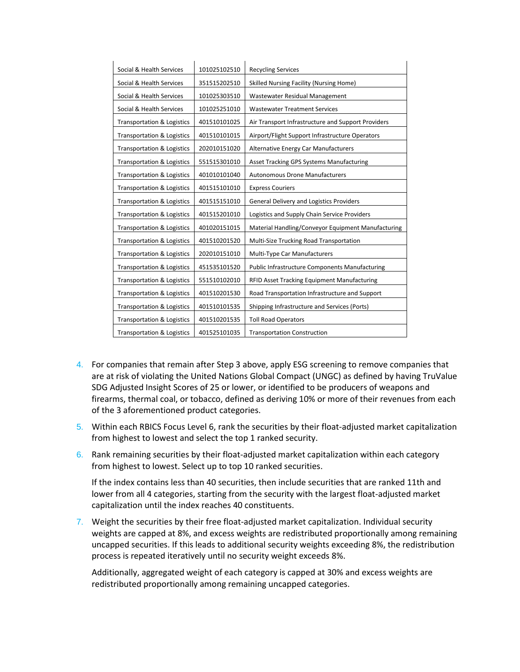| Social & Health Services              | 101025102510 | <b>Recycling Services</b>                             |
|---------------------------------------|--------------|-------------------------------------------------------|
| Social & Health Services              | 351515202510 | Skilled Nursing Facility (Nursing Home)               |
| Social & Health Services              | 101025303510 | Wastewater Residual Management                        |
| Social & Health Services              | 101025251010 | <b>Wastewater Treatment Services</b>                  |
| <b>Transportation &amp; Logistics</b> | 401510101025 | Air Transport Infrastructure and Support Providers    |
| <b>Transportation &amp; Logistics</b> | 401510101015 | Airport/Flight Support Infrastructure Operators       |
| <b>Transportation &amp; Logistics</b> | 202010151020 | Alternative Energy Car Manufacturers                  |
| <b>Transportation &amp; Logistics</b> | 551515301010 | Asset Tracking GPS Systems Manufacturing              |
| <b>Transportation &amp; Logistics</b> | 401010101040 | <b>Autonomous Drone Manufacturers</b>                 |
| <b>Transportation &amp; Logistics</b> | 401515101010 | <b>Express Couriers</b>                               |
| <b>Transportation &amp; Logistics</b> | 401515151010 | <b>General Delivery and Logistics Providers</b>       |
| <b>Transportation &amp; Logistics</b> | 401515201010 | Logistics and Supply Chain Service Providers          |
| <b>Transportation &amp; Logistics</b> | 401020151015 | Material Handling/Conveyor Equipment Manufacturing    |
| <b>Transportation &amp; Logistics</b> | 401510201520 | Multi-Size Trucking Road Transportation               |
| <b>Transportation &amp; Logistics</b> | 202010151010 | Multi-Type Car Manufacturers                          |
| <b>Transportation &amp; Logistics</b> | 451535101520 | <b>Public Infrastructure Components Manufacturing</b> |
| <b>Transportation &amp; Logistics</b> | 551510102010 | RFID Asset Tracking Equipment Manufacturing           |
| <b>Transportation &amp; Logistics</b> | 401510201530 | Road Transportation Infrastructure and Support        |
| <b>Transportation &amp; Logistics</b> | 401510101535 | Shipping Infrastructure and Services (Ports)          |
| <b>Transportation &amp; Logistics</b> | 401510201535 | <b>Toll Road Operators</b>                            |
| <b>Transportation &amp; Logistics</b> | 401525101035 | <b>Transportation Construction</b>                    |

- 4. For companies that remain after Step 3 above, apply ESG screening to remove companies that are at risk of violating the United Nations Global Compact (UNGC) as defined by having TruValue SDG Adjusted Insight Scores of 25 or lower, or identified to be producers of weapons and firearms, thermal coal, or tobacco, defined as deriving 10% or more of their revenues from each of the 3 aforementioned product categories.
- 5. Within each RBICS Focus Level 6, rank the securities by their float-adjusted market capitalization from highest to lowest and select the top 1 ranked security.
- 6. Rank remaining securities by their float-adjusted market capitalization within each category from highest to lowest. Select up to top 10 ranked securities.

If the index contains less than 40 securities, then include securities that are ranked 11th and lower from all 4 categories, starting from the security with the largest float-adjusted market capitalization until the index reaches 40 constituents.

7. Weight the securities by their free float-adjusted market capitalization. Individual security weights are capped at 8%, and excess weights are redistributed proportionally among remaining uncapped securities. If this leads to additional security weights exceeding 8%, the redistribution process is repeated iteratively until no security weight exceeds 8%.

Additionally, aggregated weight of each category is capped at 30% and excess weights are redistributed proportionally among remaining uncapped categories.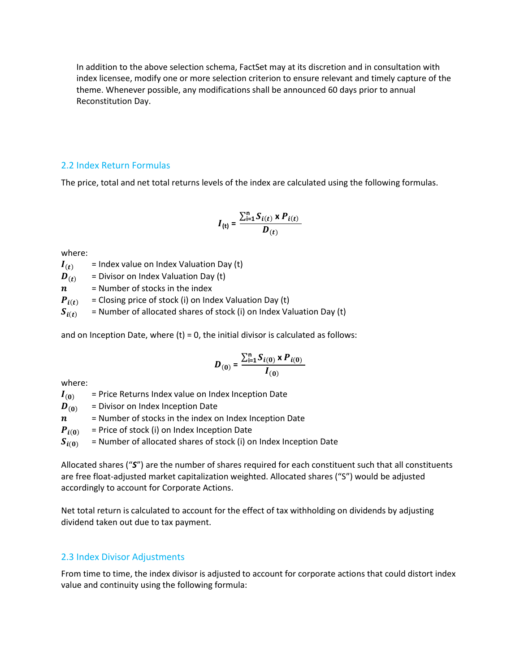In addition to the above selection schema, FactSet may at its discretion and in consultation with index licensee, modify one or more selection criterion to ensure relevant and timely capture of the theme. Whenever possible, any modifications shall be announced 60 days prior to annual Reconstitution Day.

#### 2.2 Index Return Formulas

The price, total and net total returns levels of the index are calculated using the following formulas.

$$
I_{(t)} = \frac{\sum_{i=1}^{n} S_{i(t)} \times P_{i(t)}}{D_{(t)}}
$$

where:

 $I(t)$  = Index value on Index Valuation Day (t)

 $\boldsymbol{D}_{(t)}$  = Divisor on Index Valuation Day (t)

 $n =$  Number of stocks in the index

 $P_{i(t)}$  = Closing price of stock (i) on Index Valuation Day (t)

 $S_{i(t)}$  = Number of allocated shares of stock (i) on Index Valuation Day (t)

and on Inception Date, where  $(t) = 0$ , the initial divisor is calculated as follows:

$$
D_{(0)} = \frac{\sum_{i=1}^{n} S_{i(0)} \times P_{i(0)}}{I_{(0)}}
$$

where:

 $I_{(0)}$  = Price Returns Index value on Index Inception Date

 $\mathbf{D}_{(0)}$  = Divisor on Index Inception Date

 $n =$  Number of stocks in the index on Index Inception Date

 $P_{i(0)}$  = Price of stock (i) on Index Inception Date

 $S_{i(0)}$  = Number of allocated shares of stock (i) on Index Inception Date

Allocated shares ("*S*") are the number of shares required for each constituent such that all constituents are free float-adjusted market capitalization weighted. Allocated shares ("S") would be adjusted accordingly to account for Corporate Actions.

Net total return is calculated to account for the effect of tax withholding on dividends by adjusting dividend taken out due to tax payment.

#### 2.3 Index Divisor Adjustments

From time to time, the index divisor is adjusted to account for corporate actions that could distort index value and continuity using the following formula: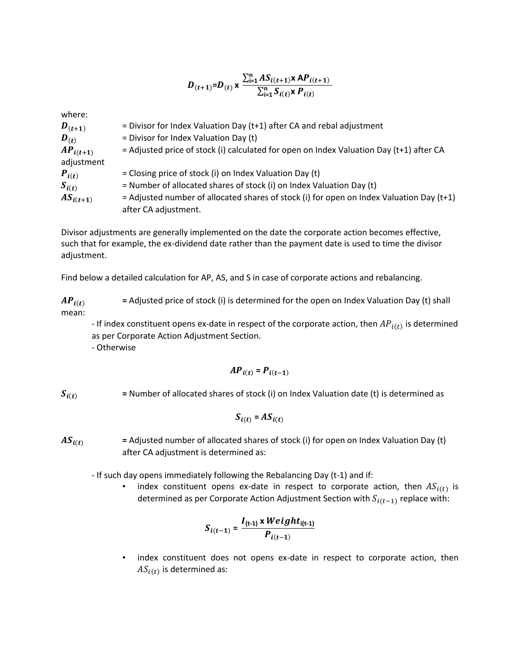$$
D_{(t+1)}=D_{(t)} \times \frac{\sum_{i=1}^{n} AS_{i(t+1)} \times AP_{i(t+1)}}{\sum_{i=1}^{n} S_{i(t)} \times P_{i(t)}}
$$

where:

| $\bm{D}_{(t+1)}$ | = Divisor for Index Valuation Day ( $t+1$ ) after CA and rebal adjustment                  |
|------------------|--------------------------------------------------------------------------------------------|
| $\bm{D}_{(t)}$   | $=$ Divisor for Index Valuation Day (t)                                                    |
| $AP_{i(t+1)}$    | = Adjusted price of stock (i) calculated for open on Index Valuation Day (t+1) after CA    |
| adjustment       |                                                                                            |
| $P_{i(t)}$       | = Closing price of stock (i) on Index Valuation Day (t)                                    |
| $S_{i(t)}$       | $=$ Number of allocated shares of stock (i) on Index Valuation Day (t)                     |
| $AS_{i(t+1)}$    | $=$ Adjusted number of allocated shares of stock (i) for open on Index Valuation Day (t+1) |
|                  | after CA adjustment.                                                                       |

Divisor adjustments are generally implemented on the date the corporate action becomes effective, such that for example, the ex-dividend date rather than the payment date is used to time the divisor adjustment.

Find below a detailed calculation for AP, AS, and S in case of corporate actions and rebalancing.

 $AP_{i(t)}$  = Adjusted price of stock (i) is determined for the open on Index Valuation Day (t) shall mean:

- If index constituent opens ex-date in respect of the corporate action, then  $AP_{i(t)}$  is determined as per Corporate Action Adjustment Section.

- Otherwise

$$
AP_{i(t)} = P_{i(t-1)}
$$

 $S_{i(t)}$  = Number of allocated shares of stock (i) on Index Valuation date (t) is determined as

$$
S_{i(t)} = AS_{i(t)}
$$

 $AS_{i(t)}$  = Adjusted number of allocated shares of stock (i) for open on Index Valuation Day (t) after CA adjustment is determined as:

- If such day opens immediately following the Rebalancing Day (t-1) and if:

• index constituent opens ex-date in respect to corporate action, then  $AS_{i(t)}$  is determined as per Corporate Action Adjustment Section with  $S_{i(t-1)}$  replace with:

$$
S_{i(t-1)} = \frac{I_{(t-1)} \times Weight_{i(t-1)}}{P_{i(t-1)}}
$$

• index constituent does not opens ex-date in respect to corporate action, then  $AS_{i(t)}$  is determined as: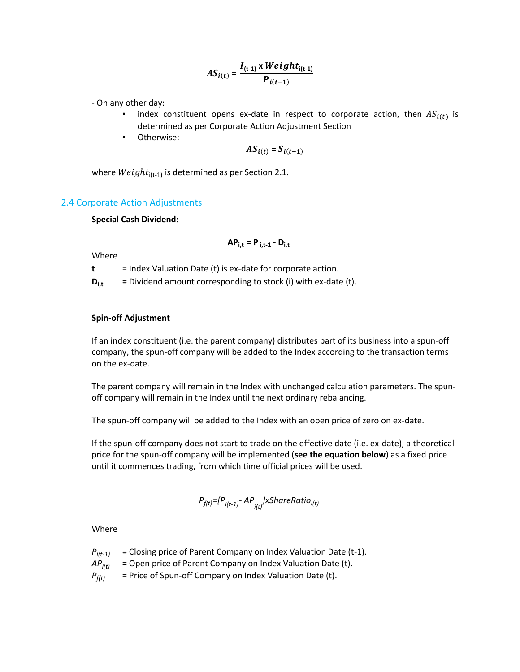$$
AS_{i(t)} = \frac{I_{(t-1)} \times Weight_{i(t-1)}}{P_{i(t-1)}}
$$

- On any other day:

- index constituent opens ex-date in respect to corporate action, then  $AS_{i(t)}$  is determined as per Corporate Action Adjustment Section
- Otherwise:

$$
AS_{i(t)} = S_{i(t-1)}
$$

where  $Weight_{i(t-1)}$  is determined as per Section 2.1.

#### 2.4 Corporate Action Adjustments

#### **Special Cash Dividend:**

$$
\mathsf{AP}_{i,t} = \mathsf{P}_{i,t-1} - \mathsf{D}_{i,t}
$$

Where

**t** = Index Valuation Date (t) is ex-date for corporate action.

 $D_{i,t}$  = Dividend amount corresponding to stock (i) with ex-date (t).

#### **Spin-off Adjustment**

If an index constituent (i.e. the parent company) distributes part of its business into a spun-off company, the spun-off company will be added to the Index according to the transaction terms on the ex-date.

The parent company will remain in the Index with unchanged calculation parameters. The spunoff company will remain in the Index until the next ordinary rebalancing.

The spun-off company will be added to the Index with an open price of zero on ex-date.

If the spun-off company does not start to trade on the effective date (i.e. ex-date), a theoretical price for the spun-off company will be implemented (**see the equation below**) as a fixed price until it commences trading, from which time official prices will be used.

$$
P_{f(t)} = [P_{i(t-1)} - AP_{i(t)}] \times SharERatio_{i(t)}
$$

Where

- $P_{i(t-1)}$  = Closing price of Parent Company on Index Valuation Date (t-1).
- *APi(t)* **=** Open price of Parent Company on Index Valuation Date (t).
- $P_{f(t)}$  = Price of Spun-off Company on Index Valuation Date (t).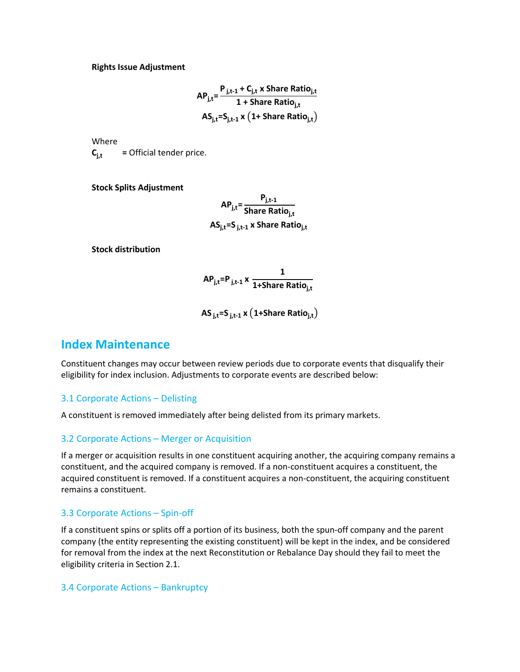**Rights Issue Adjustment**

$$
AP_{j,t} = \frac{P_{j,t-1} + C_{j,t} \times \text{Share Ratio}_{j,t}}{1 + \text{Share Ratio}_{j,t}}
$$

$$
AS_{j,t} = S_{j,t-1} \times \left(1 + \text{Share Ratio}_{j,t}\right)
$$

Where

 $C_{i,t}$  = Official tender price.

**Stock Splits Adjustment**

**APj,t= Pj,t-1 Share Ratioj,t ASj,t=S j,t-1 x Share Ratioj,t**

**Stock distribution**

$$
AP_{j,t}=P_{j,t-1} \times \frac{1}{1+Share Ratio_{j,t}}
$$

**AS j,t=S j,t-1 x** (**1+Share Ratioj,t**)

### <span id="page-10-0"></span>**Index Maintenance**

Constituent changes may occur between review periods due to corporate events that disqualify their eligibility for index inclusion. Adjustments to corporate events are described below:

#### 3.1 Corporate Actions – Delisting

A constituent is removed immediately after being delisted from its primary markets.

#### 3.2 Corporate Actions – Merger or Acquisition

If a merger or acquisition results in one constituent acquiring another, the acquiring company remains a constituent, and the acquired company is removed. If a non-constituent acquires a constituent, the acquired constituent is removed. If a constituent acquires a non-constituent, the acquiring constituent remains a constituent.

#### 3.3 Corporate Actions – Spin-off

If a constituent spins or splits off a portion of its business, both the spun-off company and the parent company (the entity representing the existing constituent) will be kept in the index, and be considered for removal from the index at the next Reconstitution or Rebalance Day should they fail to meet the eligibility criteria in Section 2.1.

#### 3.4 Corporate Actions – Bankruptcy